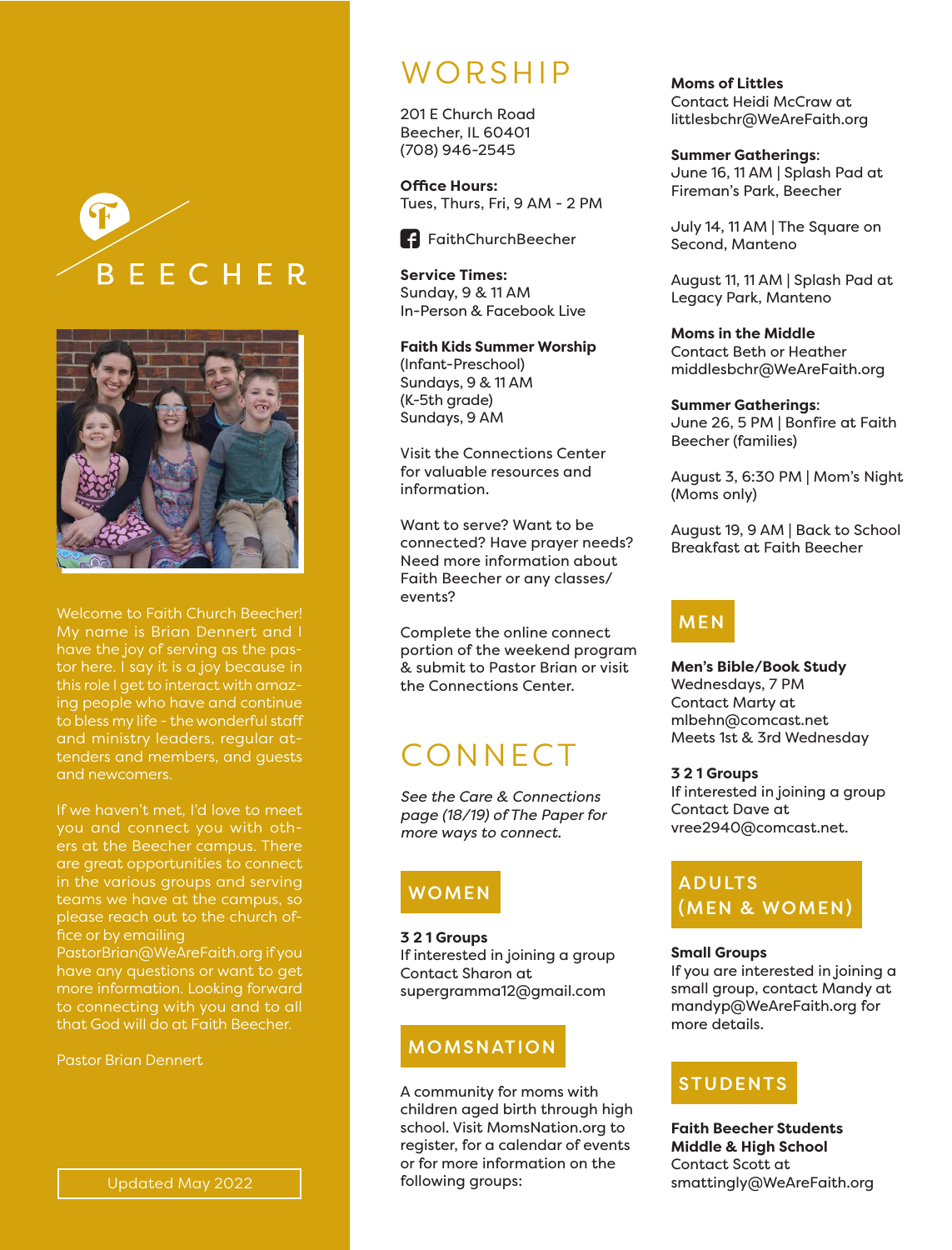



Welcome to Faith Church Beecher! My name is Brian Dennert and I have the joy of serving as the pastor here. I say it is a joy because in this role I get to interact with amazing people who have and continue to bless my life - the wonderful staff and ministry leaders, regular attenders and members, and guests and newcomers.

If we haven't met, I'd love to meet you and connect you with others at the Beecher campus. There are great opportunities to connect in the various groups and serving teams we have at the campus, so please reach out to the church of-

PastorBrian@WeAreFaith.org if you have any questions or want to get that God will do at Faith Beecher.

Pastor Brian Dennert

# **WORSHIP**

201 E Church Road Beecher, IL 60401 (708) 946-2545

**Office Hours:** Tues, Thurs, Fri, 9 AM - 2 PM



**Service Times:** Sunday, 9 & 11 AM In-Person & Facebook Live

**Faith Kids Summer Worship** (Infant-Preschool) Sundays, 9 & 11 AM (K-5th grade) Sundays, 9 AM

Visit the Connections Center for valuable resources and information.

Want to serve? Want to be connected? Have prayer needs? Need more information about Faith Beecher or any classes/ events?

Complete the online connect portion of the weekend program & submit to Pastor Brian or visit the Connections Center.

# **CONNECT**

*See the Care & Connections page (18/19) of The Paper for more ways to connect.*

# **WOMEN**

**3 2 1 Groups** If interested in joining a group Contact Sharon at supergramma12@gmail.com

## MOMSNATION

A community for moms with children aged birth through high school. Visit MomsNation.org to register, for a calendar of events or for more information on the following groups:

**Moms of Littles** Contact Heidi McCraw at littlesbchr@WeAreFaith.org

**Summer Gatherings**: June 16, 11 AM | Splash Pad at Fireman's Park, Beecher

July 14, 11 AM | The Square on Second, Manteno

August 11, 11 AM | Splash Pad at Legacy Park, Manteno

**Moms in the Middle** Contact Beth or Heather middlesbchr@WeAreFaith.org

**Summer Gatherings**: June 26, 5 PM | Bonfire at Faith Beecher (families)

August 3, 6:30 PM | Mom's Night (Moms only)

August 19, 9 AM | Back to School Breakfast at Faith Beecher

## MEN

**Men's Bible/Book Study** Wednesdays, 7 PM Contact Marty at mlbehn@comcast.net Meets 1st & 3rd Wednesday

#### **3 2 1 Groups**

If interested in joining a group Contact Dave at vree2940@comcast.net.

### ADULTS (MEN & WOMEN)

#### **Small Groups**

If you are interested in joining a small group, contact Mandy at mandyp@WeAreFaith.org for more details.

## STUDENTS

**Faith Beecher Students Middle & High School** Contact Scott at smattingly@WeAreFaith.org

Updated May 2022